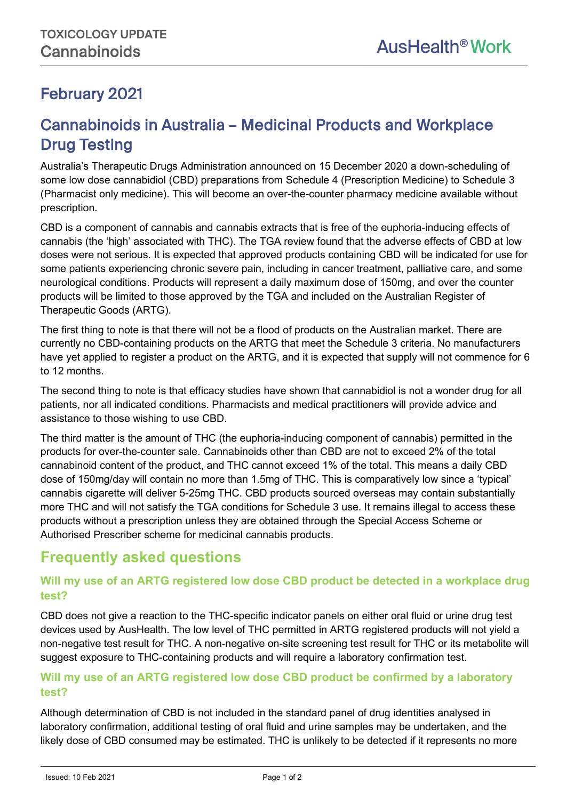l,

# February 2021

# Cannabinoids in Australia – Medicinal Products and Workplace Drug Testing

Australia's Therapeutic Drugs Administration announced on 15 December 2020 a down-scheduling of some low dose cannabidiol (CBD) preparations from Schedule 4 (Prescription Medicine) to Schedule 3 (Pharmacist only medicine). This will become an over-the-counter pharmacy medicine available without prescription.

CBD is a component of cannabis and cannabis extracts that is free of the euphoria-inducing effects of cannabis (the 'high' associated with THC). The TGA review found that the adverse effects of CBD at low doses were not serious. It is expected that approved products containing CBD will be indicated for use for some patients experiencing chronic severe pain, including in cancer treatment, palliative care, and some neurological conditions. Products will represent a daily maximum dose of 150mg, and over the counter products will be limited to those approved by the TGA and included on the Australian Register of Therapeutic Goods (ARTG).

The first thing to note is that there will not be a flood of products on the Australian market. There are currently no CBD-containing products on the ARTG that meet the Schedule 3 criteria. No manufacturers have yet applied to register a product on the ARTG, and it is expected that supply will not commence for 6 to 12 months.

The second thing to note is that efficacy studies have shown that cannabidiol is not a wonder drug for all patients, nor all indicated conditions. Pharmacists and medical practitioners will provide advice and assistance to those wishing to use CBD.

The third matter is the amount of THC (the euphoria-inducing component of cannabis) permitted in the products for over-the-counter sale. Cannabinoids other than CBD are not to exceed 2% of the total cannabinoid content of the product, and THC cannot exceed 1% of the total. This means a daily CBD dose of 150mg/day will contain no more than 1.5mg of THC. This is comparatively low since a 'typical' cannabis cigarette will deliver 5-25mg THC. CBD products sourced overseas may contain substantially more THC and will not satisfy the TGA conditions for Schedule 3 use. It remains illegal to access these products without a prescription unless they are obtained through the Special Access Scheme or Authorised Prescriber scheme for medicinal cannabis products.

# **Frequently asked questions**

## **Will my use of an ARTG registered low dose CBD product be detected in a workplace drug test?**

CBD does not give a reaction to the THC-specific indicator panels on either oral fluid or urine drug test devices used by AusHealth. The low level of THC permitted in ARTG registered products will not yield a non-negative test result for THC. A non-negative on-site screening test result for THC or its metabolite will suggest exposure to THC-containing products and will require a laboratory confirmation test.

## **Will my use of an ARTG registered low dose CBD product be confirmed by a laboratory test?**

Although determination of CBD is not included in the standard panel of drug identities analysed in laboratory confirmation, additional testing of oral fluid and urine samples may be undertaken, and the likely dose of CBD consumed may be estimated. THC is unlikely to be detected if it represents no more